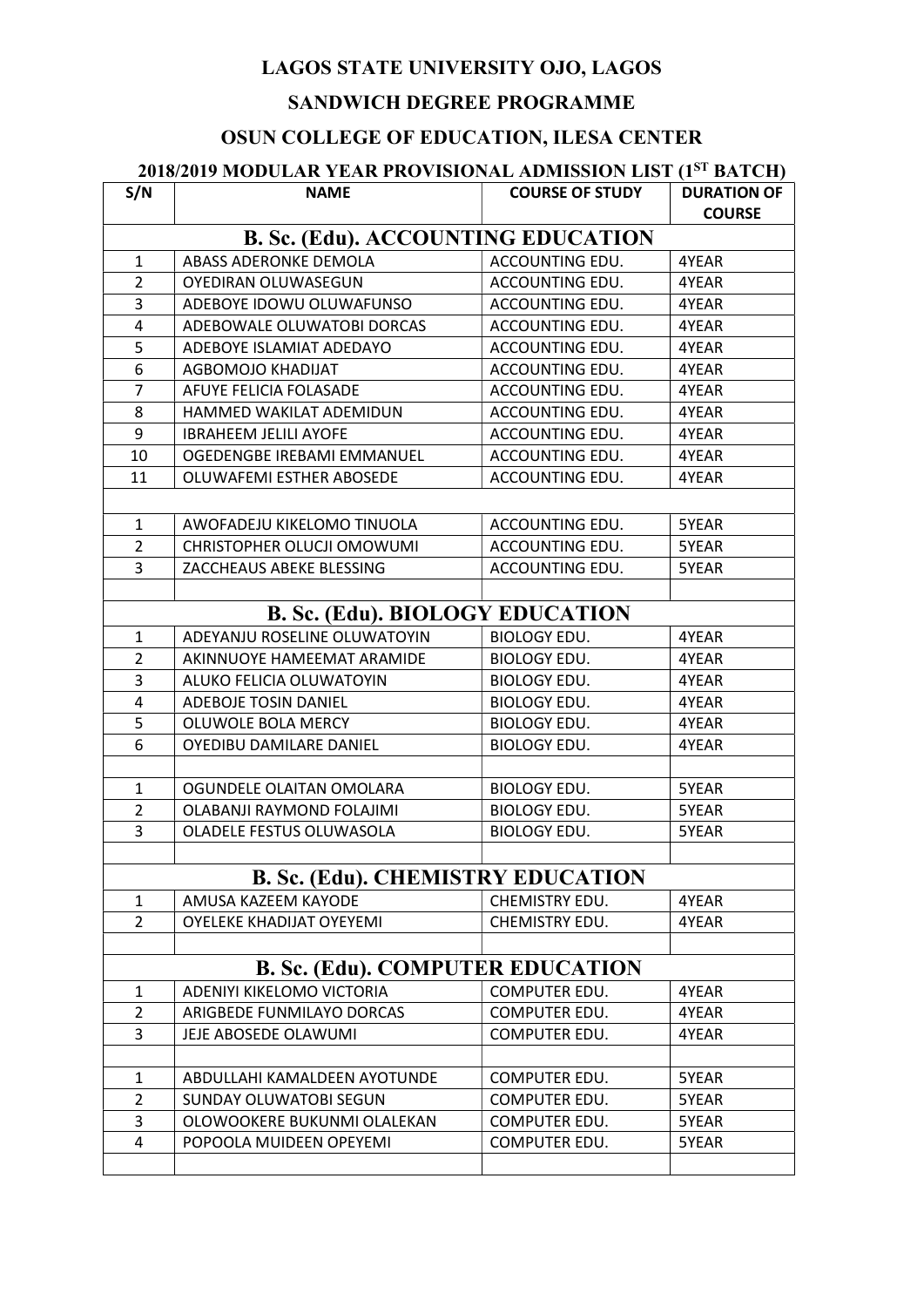### SANDWICH DEGREE PROGRAMME

# OSUN COLLEGE OF EDUCATION, ILESA CENTER

# 2018/2019 MODULAR YEAR PROVISIONAL ADMISSION LIST (1<sup>ST</sup> BATCH)

| S/N                                       | <b>NAME</b>                     | <b>COURSE OF STUDY</b> | <b>DURATION OF</b><br><b>COURSE</b> |  |  |
|-------------------------------------------|---------------------------------|------------------------|-------------------------------------|--|--|
| <b>B. Sc. (Edu). ACCOUNTING EDUCATION</b> |                                 |                        |                                     |  |  |
| $\mathbf{1}$                              | ABASS ADERONKE DEMOLA           | ACCOUNTING EDU.        | 4YEAR                               |  |  |
| $\overline{2}$                            | OYEDIRAN OLUWASEGUN             | ACCOUNTING EDU.        | 4YEAR                               |  |  |
| 3                                         | ADEBOYE IDOWU OLUWAFUNSO        | ACCOUNTING EDU.        | 4YEAR                               |  |  |
| 4                                         | ADEBOWALE OLUWATOBI DORCAS      | ACCOUNTING EDU.        | 4YEAR                               |  |  |
| 5                                         | ADEBOYE ISLAMIAT ADEDAYO        | ACCOUNTING EDU.        | 4YEAR                               |  |  |
| 6                                         | AGBOMOJO KHADIJAT               | ACCOUNTING EDU.        | 4YEAR                               |  |  |
| $\overline{7}$                            | AFUYE FELICIA FOLASADE          | ACCOUNTING EDU.        | 4YEAR                               |  |  |
| 8                                         | HAMMED WAKILAT ADEMIDUN         | ACCOUNTING EDU.        | 4YEAR                               |  |  |
| 9                                         | <b>IBRAHEEM JELILI AYOFE</b>    | ACCOUNTING EDU.        | 4YEAR                               |  |  |
| 10                                        | OGEDENGBE IREBAMI EMMANUEL      | ACCOUNTING EDU.        | 4YEAR                               |  |  |
| 11                                        | OLUWAFEMI ESTHER ABOSEDE        | ACCOUNTING EDU.        | 4YEAR                               |  |  |
|                                           |                                 |                        |                                     |  |  |
| $\mathbf{1}$                              | AWOFADEJU KIKELOMO TINUOLA      | ACCOUNTING EDU.        | 5YEAR                               |  |  |
| $\overline{2}$                            | CHRISTOPHER OLUCJI OMOWUMI      | ACCOUNTING EDU.        | 5YEAR                               |  |  |
| $\overline{3}$                            | ZACCHEAUS ABEKE BLESSING        | ACCOUNTING EDU.        | 5YEAR                               |  |  |
|                                           |                                 |                        |                                     |  |  |
| <b>B. Sc. (Edu). BIOLOGY EDUCATION</b>    |                                 |                        |                                     |  |  |
| $\mathbf{1}$                              | ADEYANJU ROSELINE OLUWATOYIN    | <b>BIOLOGY EDU.</b>    | 4YEAR                               |  |  |
| $\overline{2}$                            | AKINNUOYE HAMEEMAT ARAMIDE      | <b>BIOLOGY EDU.</b>    | 4YEAR                               |  |  |
| 3                                         | ALUKO FELICIA OLUWATOYIN        | <b>BIOLOGY EDU.</b>    | 4YEAR                               |  |  |
| 4                                         | ADEBOJE TOSIN DANIEL            | <b>BIOLOGY EDU.</b>    | 4YEAR                               |  |  |
| 5                                         | OLUWOLE BOLA MERCY              | <b>BIOLOGY EDU.</b>    | 4YEAR                               |  |  |
| 6                                         | OYEDIBU DAMILARE DANIEL         | <b>BIOLOGY EDU.</b>    | 4YEAR                               |  |  |
|                                           |                                 |                        |                                     |  |  |
| $\mathbf{1}$                              | OGUNDELE OLAITAN OMOLARA        | <b>BIOLOGY EDU.</b>    | 5YEAR                               |  |  |
| $\overline{2}$                            | OLABANJI RAYMOND FOLAJIMI       | <b>BIOLOGY EDU.</b>    | 5YEAR                               |  |  |
| $\overline{3}$                            | OLADELE FESTUS OLUWASOLA        | <b>BIOLOGY EDU.</b>    | 5YEAR                               |  |  |
|                                           |                                 |                        |                                     |  |  |
| <b>B. Sc. (Edu). CHEMISTRY EDUCATION</b>  |                                 |                        |                                     |  |  |
| $\mathbf{1}$                              | AMUSA KAZEEM KAYODE             | CHEMISTRY EDU.         | 4YEAR                               |  |  |
| $\overline{2}$                            | <b>OYELEKE KHADIJAT OYEYEMI</b> | CHEMISTRY EDU.         | 4YEAR                               |  |  |
|                                           |                                 |                        |                                     |  |  |
| <b>B. Sc. (Edu). COMPUTER EDUCATION</b>   |                                 |                        |                                     |  |  |
| $\mathbf{1}$                              | ADENIYI KIKELOMO VICTORIA       | COMPUTER EDU.          | 4YEAR                               |  |  |
| $\overline{2}$                            | ARIGBEDE FUNMILAYO DORCAS       | COMPUTER EDU.          | 4YEAR                               |  |  |
| 3                                         | JEJE ABOSEDE OLAWUMI            | COMPUTER EDU.          | 4YEAR                               |  |  |
|                                           |                                 |                        |                                     |  |  |
| $\mathbf{1}$                              | ABDULLAHI KAMALDEEN AYOTUNDE    | COMPUTER EDU.          | 5YEAR                               |  |  |
| $\overline{2}$                            | SUNDAY OLUWATOBI SEGUN          | COMPUTER EDU.          | 5YEAR                               |  |  |
| 3                                         | OLOWOOKERE BUKUNMI OLALEKAN     | COMPUTER EDU.          | 5YEAR                               |  |  |
| 4                                         | POPOOLA MUIDEEN OPEYEMI         | COMPUTER EDU.          | 5YEAR                               |  |  |
|                                           |                                 |                        |                                     |  |  |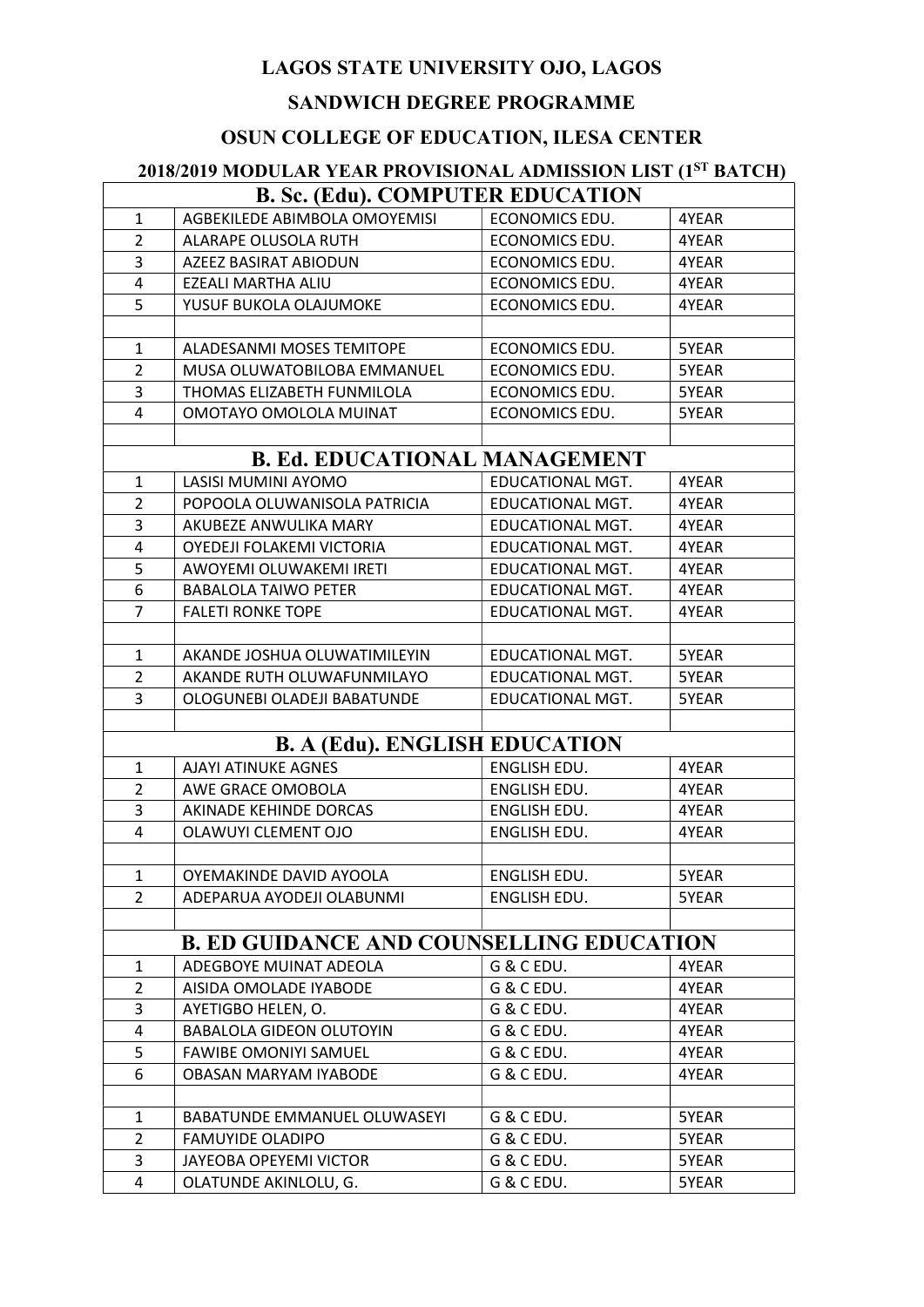#### SANDWICH DEGREE PROGRAMME

#### OSUN COLLEGE OF EDUCATION, ILESA CENTER

# 2018/2019 MODULAR YEAR PROVISIONAL ADMISSION LIST (1ST BATCH) B. Sc. (Edu). COMPUTER EDUCATION 1 AGBEKILEDE ABIMBOLA OMOYEMISI ECONOMICS EDU. 4YEAR 2 ALARAPE OLUSOLA RUTH ECONOMICS EDU. 4YEAR 3 AZEEZ BASIRAT ABIODUN ECONOMICS EDU. 4YEAR 4 EZEALI MARTHA ALIU ECONOMICS EDU. 4YEAR 5 YUSUF BUKOLA OLAJUMOKE ECONOMICS EDU. 4YEAR 1 ALADESANMI MOSES TEMITOPE | ECONOMICS EDU. | 5YEAR 2 MUSA OLUWATOBILOBA EMMANUEL FECONOMICS EDU. SYEAR 3 THOMAS ELIZABETH FUNMILOLA | ECONOMICS EDU. | 5YEAR 4 | OMOTAYO OMOLOLA MUINAT | ECONOMICS EDU. | 5YEAR B. Ed. EDUCATIONAL MANAGEMENT 1 | LASISI MUMINI AYOMO | EDUCATIONAL MGT. | 4YEAR 2 POPOOLA OLUWANISOLA PATRICIA EDUCATIONAL MGT. 4YEAR 3 AKUBEZE ANWULIKA MARY EDUCATIONAL MGT. 4YEAR 4 OYEDEJI FOLAKEMI VICTORIA EDUCATIONAL MGT. 4YEAR 5 AWOYEMI OLUWAKEMI IRETI EDUCATIONAL MGT. 4YEAR 6 BABALOLA TAIWO PETER **EDUCATIONAL MGT.** 4YEAR 7 FALETI RONKE TOPE | EDUCATIONAL MGT. 4YEAR 1 AKANDE JOSHUA OLUWATIMILEYIN EDUCATIONAL MGT. 5YEAR 2 AKANDE RUTH OLUWAFUNMILAYO FDUCATIONAL MGT. 5YEAR 3 | OLOGUNEBI OLADEJI BABATUNDE | EDUCATIONAL MGT. | 5YEAR B. A (Edu). ENGLISH EDUCATION 1 | AJAYI ATINUKE AGNES | ENGLISH EDU. | 4YEAR 2 AWE GRACE OMOBOLA **ENGLISH EDU.** 4YEAR 3 AKINADE KEHINDE DORCAS ENGLISH EDU. 4YEAR 4 | OLAWUYI CLEMENT OJO | ENGLISH EDU. | 4YEAR 1 OYEMAKINDE DAVID AYOOLA **ENGLISH EDU.** 5YEAR 2 ADEPARUA AYODEJI OLABUNMI | ENGLISH EDU. | 5YEAR B. ED GUIDANCE AND COUNSELLING EDUCATION 1 ADEGBOYE MUINAT ADEOLA | G & C EDU. | 4YEAR 2 AISIDA OMOLADE IYABODE G & C EDU. 4YEAR 3 AYETIGBO HELEN, O. G& C EDU. 4YEAR 4 BABALOLA GIDEON OLUTOYIN G & C EDU. 4YEAR 5 FAWIBE OMONIYI SAMUEL G & C EDU. 4YEAR 6 OBASAN MARYAM IYABODE G & C EDU. 4YEAR 1 BABATUNDE EMMANUEL OLUWASEYI G & C EDU. 5YEAR 2 FAMUYIDE OLADIPO G & C EDU. SYEAR 3 JAYEOBA OPEYEMI VICTOR G & C EDU. 5YEAR 4 | OLATUNDE AKINLOLU, G. | G & C EDU. | 5YEAR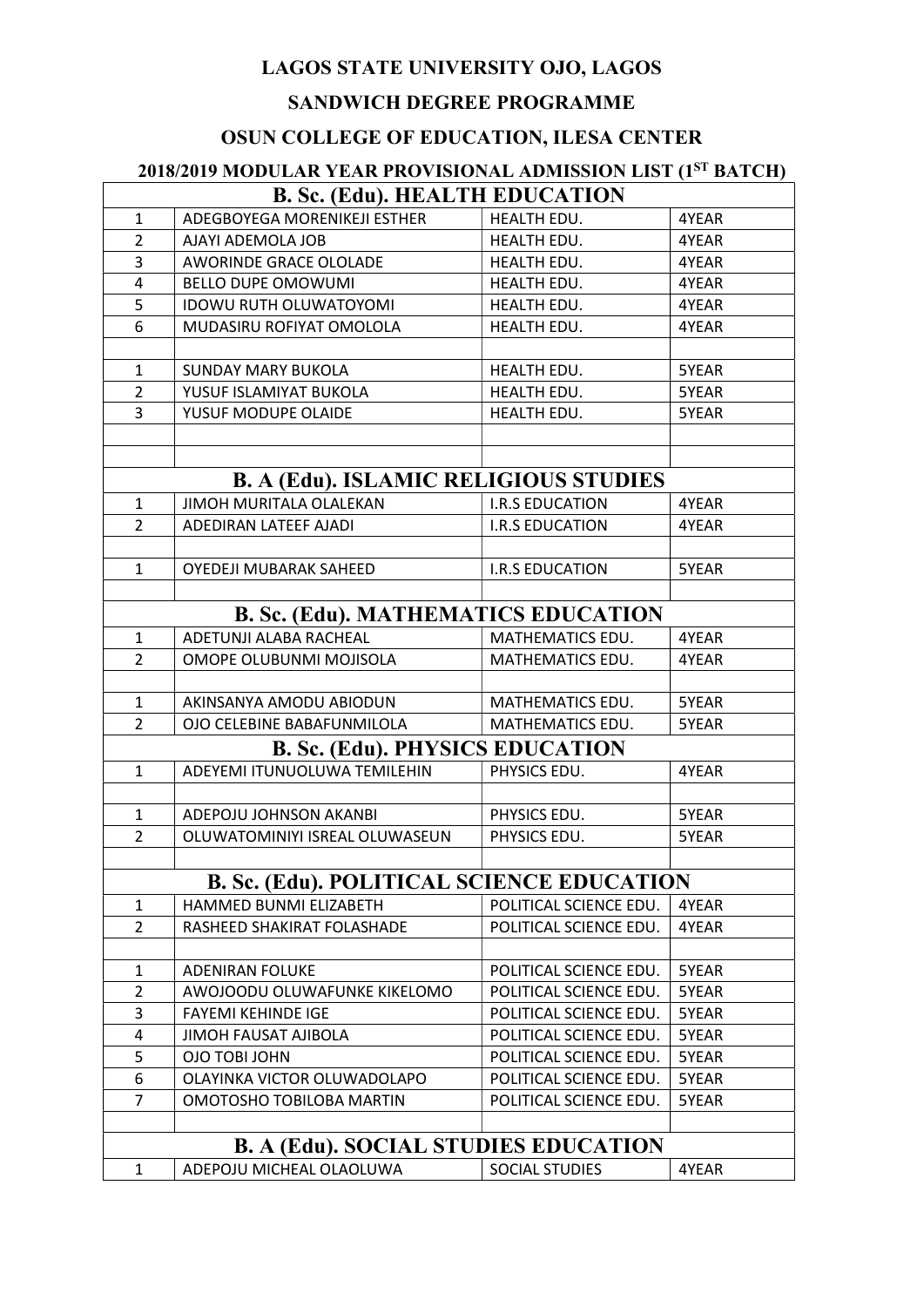#### SANDWICH DEGREE PROGRAMME

#### OSUN COLLEGE OF EDUCATION, ILESA CENTER

# 2018/2019 MODULAR YEAR PROVISIONAL ADMISSION LIST (1ST BATCH) B. Sc. (Edu). HEALTH EDUCATION 1 ADEGBOYEGA MORENIKEJI ESTHER HEALTH EDU. 14YEAR 2 AJAYI ADEMOLA JOB **HEALTH EDU.** 4YEAR 3 AWORINDE GRACE OLOLADE HEALTH EDU. 4YEAR 4 BELLO DUPE OMOWUMI HEALTH EDU. 4YEAR 5 IDOWU RUTH OLUWATOYOMI HEALTH EDU. 4YEAR 6 MUDASIRU ROFIYAT OMOLOLA HEALTH EDU. 4YEAR 1 SUNDAY MARY BUKOLA HEALTH EDU. SYEAR 2 YUSUF ISLAMIYAT BUKOLA REALTH EDU. SYEAR 3 YUSUF MODUPE OLAIDE REALTH EDU. SYEAR B. A (Edu). ISLAMIC RELIGIOUS STUDIES 1 JIMOH MURITALA OLALEKAN I.R.S EDUCATION 4YEAR 2 ADEDIRAN LATEEF AJADI I.R.S EDUCATION 4YEAR 1 OYEDEJI MUBARAK SAHEED **I.R.S EDUCATION** 5YEAR B. Sc. (Edu). MATHEMATICS EDUCATION 1 ADETUNJI ALABA RACHEAL MATHEMATICS EDU. 4YEAR 2 OMOPE OLUBUNMI MOJISOLA MATHEMATICS EDU. 4YEAR 1 AKINSANYA AMODU ABIODUN | MATHEMATICS EDU. | 5YEAR 2 | OJO CELEBINE BABAFUNMILOLA | MATHEMATICS EDU. | 5YEAR B. Sc. (Edu). PHYSICS EDUCATION 1 ADEYEMI ITUNUOLUWA TEMILEHIN PHYSICS EDU. 4YEAR 1 ADEPOJU JOHNSON AKANBI PHYSICS EDU. 5YEAR 2 | OLUWATOMINIYI ISREAL OLUWASEUN | PHYSICS EDU. | 5YEAR B. Sc. (Edu). POLITICAL SCIENCE EDUCATION 1 HAMMED BUNMI ELIZABETH POLITICAL SCIENCE EDU. 4YEAR<br>2 RASHEED SHAKIRAT FOLASHADE POLITICAL SCIENCE EDU. 4YEAR 2 RASHEED SHAKIRAT FOLASHADE POLITICAL SCIENCE EDU. 4YEAR 1 | ADENIRAN FOLUKE | POLITICAL SCIENCE EDU. | 5YEAR 2 AWOJOODU OLUWAFUNKE KIKELOMO | POLITICAL SCIENCE EDU. | 5YEAR 3 FAYEMI KEHINDE IGE POLITICAL SCIENCE EDU. 5YEAR 4 JIMOH FAUSAT AJIBOLA POLITICAL SCIENCE EDU. 5YEAR 5 OJO TOBI JOHN POLITICAL SCIENCE EDU. 5YEAR 6 OLAYINKA VICTOR OLUWADOLAPO POLITICAL SCIENCE EDU. 5YEAR 7 OMOTOSHO TOBILOBA MARTIN POLITICAL SCIENCE EDU. 5YEAR B. A (Edu). SOCIAL STUDIES EDUCATION 1 ADEPOJU MICHEAL OLAOLUWA SOCIAL STUDIES 4YEAR